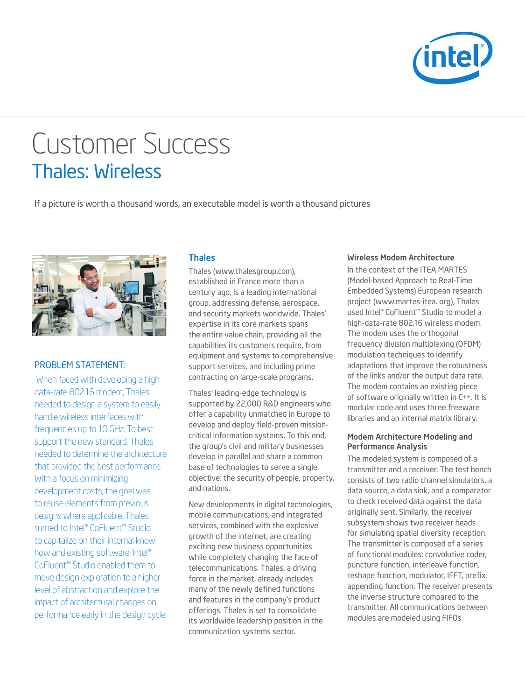

# Customer Success Thales: Wireless

If a picture is worth a thousand words, an executable model is worth a thousand pictures



# PROBLeM STATeMenT:

 When faced with developing a high data-rate 802.16 modem, Thales needed to design a system to easily handle wireless interfaces with frequencies up to 10 GHz. To best support the new standard, Thales needed to determine the architecture that provided the best performance. With a focus on minimizing development costs, the goal was to reuse elements from previous designs where applicable. Thales turned to Intel® CoFluent™ Studio to capitalize on their internal knowhow and existing software. Intel® CoFluent™ Studio enabled them to move design exploration to a higher level of abstraction and explore the impact of architectural changes on performance early in the design cycle.

### Thales

Thales (www.thalesgroup.com), established in France more than a century ago, is a leading international group, addressing defense, aerospace, and security markets worldwide. Thales' expertise in its core markets spans the entire value chain, providing all the capabilities its customers require, from equipment and systems to comprehensive support services, and including prime contracting on large-scale programs.

Thales' leading-edge technology is supported by 22,000 R&D engineers who offer a capability unmatched in Europe to develop and deploy field-proven missioncritical information systems. To this end, the group's civil and military businesses develop in parallel and share a common base of technologies to serve a single objective: the security of people, property, and nations.

New developments in digital technologies, mobile communications, and integrated services, combined with the explosive growth of the internet, are creating exciting new business opportunities while completely changing the face of telecommunications. Thales, a driving force in the market, already includes many of the newly defined functions and features in the company's product offerings. Thales is set to consolidate its worldwide leadership position in the communication systems sector.

#### Wireless Modem Architecture

In the context of the ITeA MARTeS (Model-based Approach to Real-Time Embedded Systems) European research project (www.martes-itea. org), Thales used Intel® CoFluent™ Studio to model a high-data-rate 802.16 wireless modem. The modem uses the orthogonal frequency division multiplexing (OFDM) modulation techniques to identify adaptations that improve the robustness of the links and/or the output data rate. The modem contains an existing piece of software originally written in C++. It is modular code and uses three freeware libraries and an internal matrix library.

#### Modem Architecture Modeling and Performance Analysis

The modeled system is composed of a transmitter and a receiver. The test bench consists of two radio channel simulators, a data source, a data sink, and a comparator to check received data against the data originally sent. Similarly, the receiver subsystem shows two receiver heads for simulating spatial diversity reception. The transmitter is composed of a series of functional modules: convolutive coder, puncture function, interleave function, reshape function, modulator, IFFT, prefix appending function. The receiver presents the inverse structure compared to the transmitter. All communications between modules are modeled using FIFOs.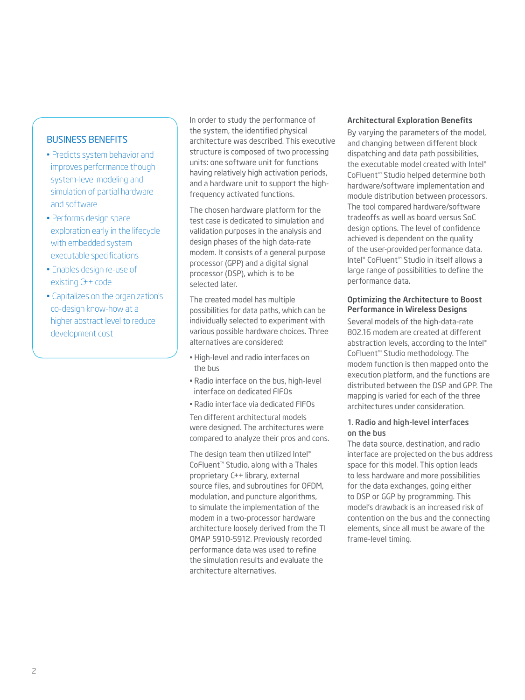## Business Benefits

- Predicts system behavior and improves performance though system-level modeling and simulation of partial hardware and software
- Performs design space exploration early in the lifecycle with embedded system executable specifications
- Enables design re-use of existing C++ code
- Capitalizes on the organization's co-design know-how at a higher abstract level to reduce development cost

In order to study the performance of the system, the identified physical architecture was described. This executive structure is composed of two processing units: one software unit for functions having relatively high activation periods, and a hardware unit to support the highfrequency activated functions.

The chosen hardware platform for the test case is dedicated to simulation and validation purposes in the analysis and design phases of the high data-rate modem. It consists of a general purpose processor (GPP) and a digital signal processor (DSP), which is to be selected later.

The created model has multiple possibilities for data paths, which can be individually selected to experiment with various possible hardware choices. Three alternatives are considered:

- High-level and radio interfaces on the bus
- Radio interface on the bus, high-level interface on dedicated FIFOs
- Radio interface via dedicated FIFOs

Ten different architectural models were designed. The architectures were compared to analyze their pros and cons.

The design team then utilized Intel® CoFluent™ Studio, along with a Thales proprietary C++ library, external source files, and subroutines for OFDM, modulation, and puncture algorithms, to simulate the implementation of the modem in a two-processor hardware architecture loosely derived from the TI OMAP 5910-5912. Previously recorded performance data was used to refine the simulation results and evaluate the architecture alternatives.

#### Architectural Exploration Benefits

By varying the parameters of the model, and changing between different block dispatching and data path possibilities, the executable model created with Intel® CoFluent™ Studio helped determine both hardware/software implementation and module distribution between processors. The tool compared hardware/software tradeoffs as well as board versus SoC design options. The level of confidence achieved is dependent on the quality of the user-provided performance data. Intel® CoFluent™ Studio in itself allows a large range of possibilities to define the performance data.

#### Optimizing the Architecture to Boost Performance in Wireless Designs

Several models of the high-data-rate 802.16 modem are created at different abstraction levels, according to the Intel® CoFluent™ Studio methodology. The modem function is then mapped onto the execution platform, and the functions are distributed between the DSP and GPP. The mapping is varied for each of the three architectures under consideration.

#### 1. Radio and high-level interfaces on the bus

The data source, destination, and radio interface are projected on the bus address space for this model. This option leads to less hardware and more possibilities for the data exchanges, going either to DSP or GGP by programming. This model's drawback is an increased risk of contention on the bus and the connecting elements, since all must be aware of the frame-level timing.